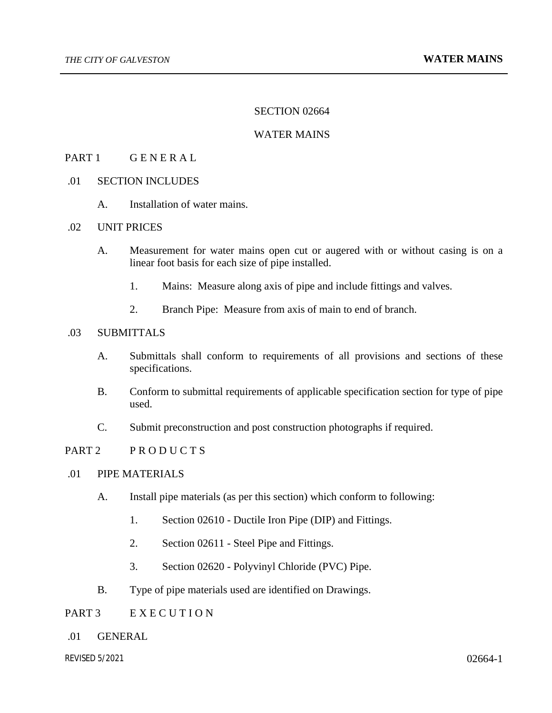#### SECTION 02664

## WATER MAINS

#### PART 1 GENERAL

# .01 SECTION INCLUDES

A. Installation of water mains.

# .02 UNIT PRICES

- A. Measurement for water mains open cut or augered with or without casing is on a linear foot basis for each size of pipe installed.
	- 1. Mains: Measure along axis of pipe and include fittings and valves.
	- 2. Branch Pipe: Measure from axis of main to end of branch.

# .03 SUBMITTALS

- A. Submittals shall conform to requirements of all provisions and sections of these specifications.
- B. Conform to submittal requirements of applicable specification section for type of pipe used.
- C. Submit preconstruction and post construction photographs if required.

## PART 2 PRODUCTS

#### .01 PIPE MATERIALS

- A. Install pipe materials (as per this section) which conform to following:
	- 1. Section 02610 Ductile Iron Pipe (DIP) and Fittings.
	- 2. Section 02611 Steel Pipe and Fittings.
	- 3. Section 02620 Polyvinyl Chloride (PVC) Pipe.
- B. Type of pipe materials used are identified on Drawings.

# PART 3 E X E C U T I O N

.01 GENERAL

*REVISED 5/2021* 02664-1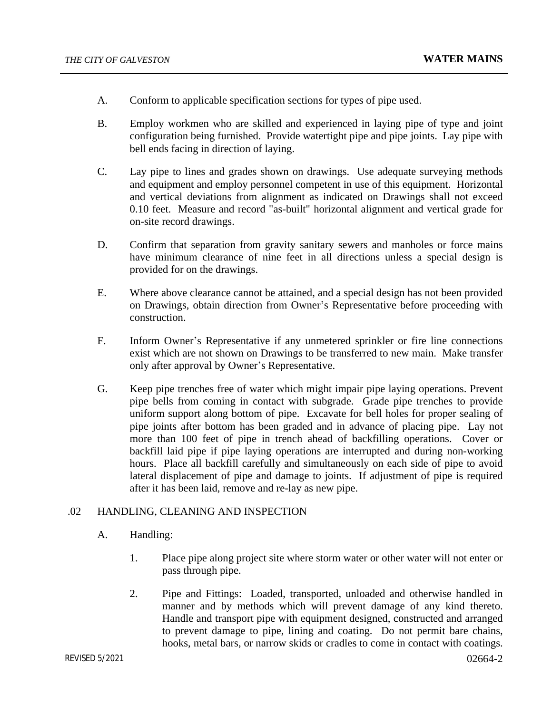- A. Conform to applicable specification sections for types of pipe used.
- B. Employ workmen who are skilled and experienced in laying pipe of type and joint configuration being furnished. Provide watertight pipe and pipe joints. Lay pipe with bell ends facing in direction of laying.
- C. Lay pipe to lines and grades shown on drawings. Use adequate surveying methods and equipment and employ personnel competent in use of this equipment. Horizontal and vertical deviations from alignment as indicated on Drawings shall not exceed 0.10 feet. Measure and record "as-built" horizontal alignment and vertical grade for on-site record drawings.
- D. Confirm that separation from gravity sanitary sewers and manholes or force mains have minimum clearance of nine feet in all directions unless a special design is provided for on the drawings.
- E. Where above clearance cannot be attained, and a special design has not been provided on Drawings, obtain direction from Owner's Representative before proceeding with construction.
- F. Inform Owner's Representative if any unmetered sprinkler or fire line connections exist which are not shown on Drawings to be transferred to new main. Make transfer only after approval by Owner's Representative.
- G. Keep pipe trenches free of water which might impair pipe laying operations. Prevent pipe bells from coming in contact with subgrade. Grade pipe trenches to provide uniform support along bottom of pipe. Excavate for bell holes for proper sealing of pipe joints after bottom has been graded and in advance of placing pipe. Lay not more than 100 feet of pipe in trench ahead of backfilling operations. Cover or backfill laid pipe if pipe laying operations are interrupted and during non-working hours. Place all backfill carefully and simultaneously on each side of pipe to avoid lateral displacement of pipe and damage to joints. If adjustment of pipe is required after it has been laid, remove and re-lay as new pipe.

# .02 HANDLING, CLEANING AND INSPECTION

- A. Handling:
	- 1. Place pipe along project site where storm water or other water will not enter or pass through pipe.
	- 2. Pipe and Fittings: Loaded, transported, unloaded and otherwise handled in manner and by methods which will prevent damage of any kind thereto. Handle and transport pipe with equipment designed, constructed and arranged to prevent damage to pipe, lining and coating. Do not permit bare chains, hooks, metal bars, or narrow skids or cradles to come in contact with coatings.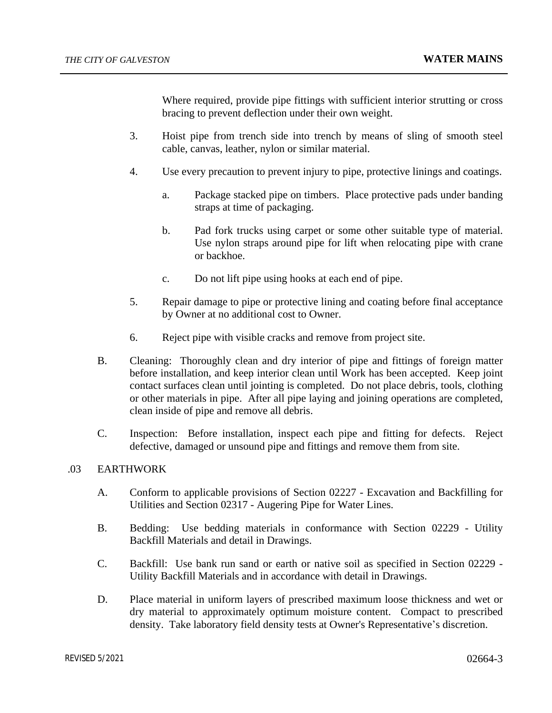Where required, provide pipe fittings with sufficient interior strutting or cross bracing to prevent deflection under their own weight.

- 3. Hoist pipe from trench side into trench by means of sling of smooth steel cable, canvas, leather, nylon or similar material.
- 4. Use every precaution to prevent injury to pipe, protective linings and coatings.
	- a. Package stacked pipe on timbers. Place protective pads under banding straps at time of packaging.
	- b. Pad fork trucks using carpet or some other suitable type of material. Use nylon straps around pipe for lift when relocating pipe with crane or backhoe.
	- c. Do not lift pipe using hooks at each end of pipe.
- 5. Repair damage to pipe or protective lining and coating before final acceptance by Owner at no additional cost to Owner.
- 6. Reject pipe with visible cracks and remove from project site.
- B. Cleaning: Thoroughly clean and dry interior of pipe and fittings of foreign matter before installation, and keep interior clean until Work has been accepted. Keep joint contact surfaces clean until jointing is completed. Do not place debris, tools, clothing or other materials in pipe. After all pipe laying and joining operations are completed, clean inside of pipe and remove all debris.
- C. Inspection: Before installation, inspect each pipe and fitting for defects. Reject defective, damaged or unsound pipe and fittings and remove them from site.

# .03 EARTHWORK

- A. Conform to applicable provisions of Section 02227 Excavation and Backfilling for Utilities and Section 02317 - Augering Pipe for Water Lines.
- B. Bedding: Use bedding materials in conformance with Section 02229 Utility Backfill Materials and detail in Drawings.
- C. Backfill: Use bank run sand or earth or native soil as specified in Section 02229 Utility Backfill Materials and in accordance with detail in Drawings.
- D. Place material in uniform layers of prescribed maximum loose thickness and wet or dry material to approximately optimum moisture content. Compact to prescribed density. Take laboratory field density tests at Owner's Representative's discretion.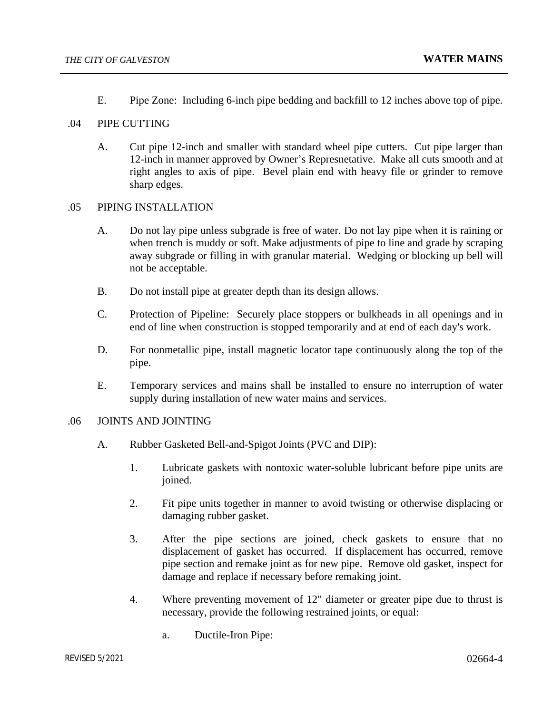E. Pipe Zone: Including 6-inch pipe bedding and backfill to 12 inches above top of pipe.

#### .04 PIPE CUTTING

A. Cut pipe 12-inch and smaller with standard wheel pipe cutters. Cut pipe larger than 12-inch in manner approved by Owner's Represnetative. Make all cuts smooth and at right angles to axis of pipe. Bevel plain end with heavy file or grinder to remove sharp edges.

#### .05 PIPING INSTALLATION

- A. Do not lay pipe unless subgrade is free of water. Do not lay pipe when it is raining or when trench is muddy or soft. Make adjustments of pipe to line and grade by scraping away subgrade or filling in with granular material. Wedging or blocking up bell will not be acceptable.
- B. Do not install pipe at greater depth than its design allows.
- C. Protection of Pipeline: Securely place stoppers or bulkheads in all openings and in end of line when construction is stopped temporarily and at end of each day's work.
- D. For nonmetallic pipe, install magnetic locator tape continuously along the top of the pipe.
- E. Temporary services and mains shall be installed to ensure no interruption of water supply during installation of new water mains and services.

#### .06 JOINTS AND JOINTING

- A. Rubber Gasketed Bell-and-Spigot Joints (PVC and DIP):
	- 1. Lubricate gaskets with nontoxic water-soluble lubricant before pipe units are joined.
	- 2. Fit pipe units together in manner to avoid twisting or otherwise displacing or damaging rubber gasket.
	- 3. After the pipe sections are joined, check gaskets to ensure that no displacement of gasket has occurred. If displacement has occurred, remove pipe section and remake joint as for new pipe. Remove old gasket, inspect for damage and replace if necessary before remaking joint.
	- 4. Where preventing movement of 12" diameter or greater pipe due to thrust is necessary, provide the following restrained joints, or equal:
		- a. Ductile-Iron Pipe: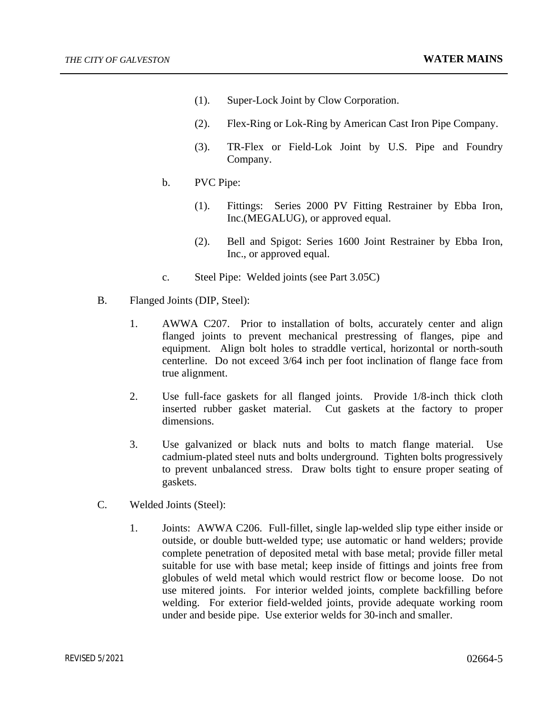- (1). Super-Lock Joint by Clow Corporation.
- (2). Flex-Ring or Lok-Ring by American Cast Iron Pipe Company.
- (3). TR-Flex or Field-Lok Joint by U.S. Pipe and Foundry Company.
- b. PVC Pipe:
	- (1). Fittings: Series 2000 PV Fitting Restrainer by Ebba Iron, Inc.(MEGALUG), or approved equal.
	- (2). Bell and Spigot: Series 1600 Joint Restrainer by Ebba Iron, Inc., or approved equal.
- c. Steel Pipe: Welded joints (see Part 3.05C)
- B. Flanged Joints (DIP, Steel):
	- 1. AWWA C207. Prior to installation of bolts, accurately center and align flanged joints to prevent mechanical prestressing of flanges, pipe and equipment. Align bolt holes to straddle vertical, horizontal or north-south centerline. Do not exceed 3/64 inch per foot inclination of flange face from true alignment.
	- 2. Use full-face gaskets for all flanged joints. Provide 1/8-inch thick cloth inserted rubber gasket material. Cut gaskets at the factory to proper dimensions.
	- 3. Use galvanized or black nuts and bolts to match flange material. Use cadmium-plated steel nuts and bolts underground. Tighten bolts progressively to prevent unbalanced stress. Draw bolts tight to ensure proper seating of gaskets.
- C. Welded Joints (Steel):
	- 1. Joints: AWWA C206. Full-fillet, single lap-welded slip type either inside or outside, or double butt-welded type; use automatic or hand welders; provide complete penetration of deposited metal with base metal; provide filler metal suitable for use with base metal; keep inside of fittings and joints free from globules of weld metal which would restrict flow or become loose. Do not use mitered joints. For interior welded joints, complete backfilling before welding. For exterior field-welded joints, provide adequate working room under and beside pipe. Use exterior welds for 30-inch and smaller.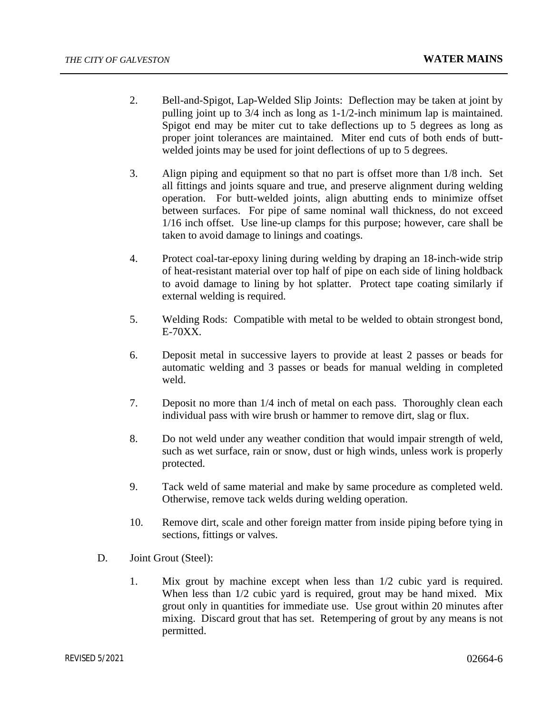- 2. Bell-and-Spigot, Lap-Welded Slip Joints: Deflection may be taken at joint by pulling joint up to 3/4 inch as long as 1-1/2-inch minimum lap is maintained. Spigot end may be miter cut to take deflections up to 5 degrees as long as proper joint tolerances are maintained. Miter end cuts of both ends of buttwelded joints may be used for joint deflections of up to 5 degrees.
- 3. Align piping and equipment so that no part is offset more than 1/8 inch. Set all fittings and joints square and true, and preserve alignment during welding operation. For butt-welded joints, align abutting ends to minimize offset between surfaces. For pipe of same nominal wall thickness, do not exceed 1/16 inch offset. Use line-up clamps for this purpose; however, care shall be taken to avoid damage to linings and coatings.
- 4. Protect coal-tar-epoxy lining during welding by draping an 18-inch-wide strip of heat-resistant material over top half of pipe on each side of lining holdback to avoid damage to lining by hot splatter. Protect tape coating similarly if external welding is required.
- 5. Welding Rods: Compatible with metal to be welded to obtain strongest bond, E-70XX.
- 6. Deposit metal in successive layers to provide at least 2 passes or beads for automatic welding and 3 passes or beads for manual welding in completed weld.
- 7. Deposit no more than 1/4 inch of metal on each pass. Thoroughly clean each individual pass with wire brush or hammer to remove dirt, slag or flux.
- 8. Do not weld under any weather condition that would impair strength of weld, such as wet surface, rain or snow, dust or high winds, unless work is properly protected.
- 9. Tack weld of same material and make by same procedure as completed weld. Otherwise, remove tack welds during welding operation.
- 10. Remove dirt, scale and other foreign matter from inside piping before tying in sections, fittings or valves.
- D. Joint Grout (Steel):
	- 1. Mix grout by machine except when less than 1/2 cubic yard is required. When less than 1/2 cubic yard is required, grout may be hand mixed. Mix grout only in quantities for immediate use. Use grout within 20 minutes after mixing. Discard grout that has set. Retempering of grout by any means is not permitted.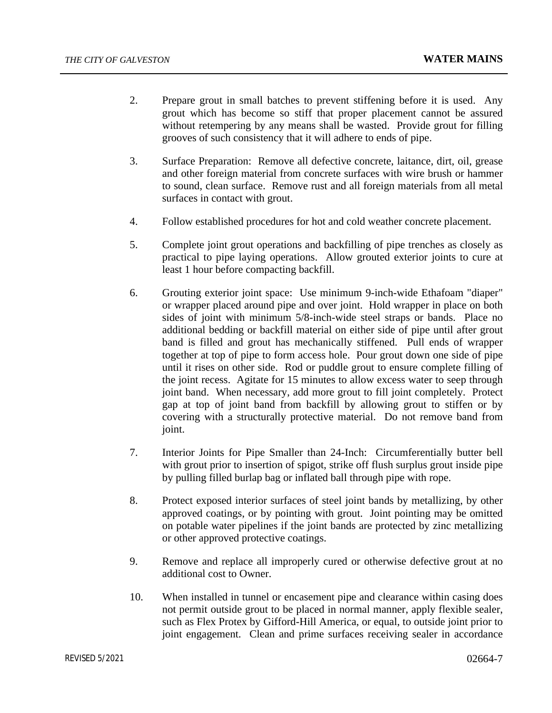- 2. Prepare grout in small batches to prevent stiffening before it is used. Any grout which has become so stiff that proper placement cannot be assured without retempering by any means shall be wasted. Provide grout for filling grooves of such consistency that it will adhere to ends of pipe.
- 3. Surface Preparation: Remove all defective concrete, laitance, dirt, oil, grease and other foreign material from concrete surfaces with wire brush or hammer to sound, clean surface. Remove rust and all foreign materials from all metal surfaces in contact with grout.
- 4. Follow established procedures for hot and cold weather concrete placement.
- 5. Complete joint grout operations and backfilling of pipe trenches as closely as practical to pipe laying operations. Allow grouted exterior joints to cure at least 1 hour before compacting backfill.
- 6. Grouting exterior joint space: Use minimum 9-inch-wide Ethafoam "diaper" or wrapper placed around pipe and over joint. Hold wrapper in place on both sides of joint with minimum 5/8-inch-wide steel straps or bands. Place no additional bedding or backfill material on either side of pipe until after grout band is filled and grout has mechanically stiffened. Pull ends of wrapper together at top of pipe to form access hole. Pour grout down one side of pipe until it rises on other side. Rod or puddle grout to ensure complete filling of the joint recess. Agitate for 15 minutes to allow excess water to seep through joint band. When necessary, add more grout to fill joint completely. Protect gap at top of joint band from backfill by allowing grout to stiffen or by covering with a structurally protective material. Do not remove band from joint.
- 7. Interior Joints for Pipe Smaller than 24-Inch: Circumferentially butter bell with grout prior to insertion of spigot, strike off flush surplus grout inside pipe by pulling filled burlap bag or inflated ball through pipe with rope.
- 8. Protect exposed interior surfaces of steel joint bands by metallizing, by other approved coatings, or by pointing with grout. Joint pointing may be omitted on potable water pipelines if the joint bands are protected by zinc metallizing or other approved protective coatings.
- 9. Remove and replace all improperly cured or otherwise defective grout at no additional cost to Owner.
- 10. When installed in tunnel or encasement pipe and clearance within casing does not permit outside grout to be placed in normal manner, apply flexible sealer, such as Flex Protex by Gifford-Hill America, or equal, to outside joint prior to joint engagement. Clean and prime surfaces receiving sealer in accordance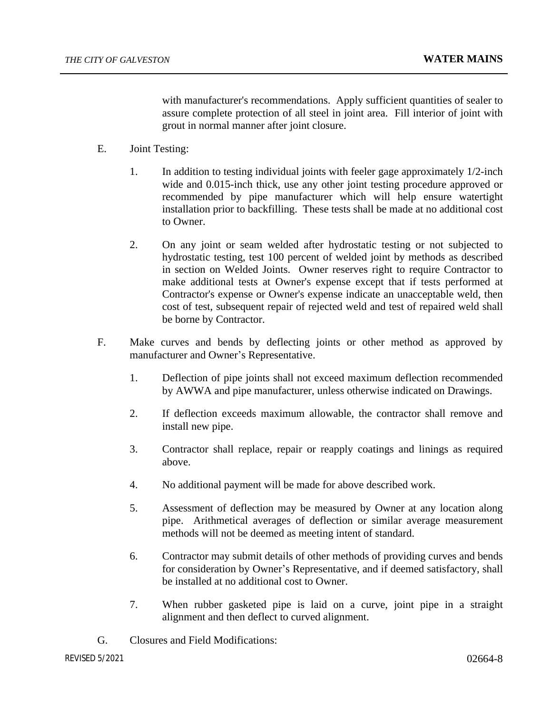with manufacturer's recommendations. Apply sufficient quantities of sealer to assure complete protection of all steel in joint area. Fill interior of joint with grout in normal manner after joint closure.

- E. Joint Testing:
	- 1. In addition to testing individual joints with feeler gage approximately 1/2-inch wide and 0.015-inch thick, use any other joint testing procedure approved or recommended by pipe manufacturer which will help ensure watertight installation prior to backfilling. These tests shall be made at no additional cost to Owner.
	- 2. On any joint or seam welded after hydrostatic testing or not subjected to hydrostatic testing, test 100 percent of welded joint by methods as described in section on Welded Joints. Owner reserves right to require Contractor to make additional tests at Owner's expense except that if tests performed at Contractor's expense or Owner's expense indicate an unacceptable weld, then cost of test, subsequent repair of rejected weld and test of repaired weld shall be borne by Contractor.
- F. Make curves and bends by deflecting joints or other method as approved by manufacturer and Owner's Representative.
	- 1. Deflection of pipe joints shall not exceed maximum deflection recommended by AWWA and pipe manufacturer, unless otherwise indicated on Drawings.
	- 2. If deflection exceeds maximum allowable, the contractor shall remove and install new pipe.
	- 3. Contractor shall replace, repair or reapply coatings and linings as required above.
	- 4. No additional payment will be made for above described work.
	- 5. Assessment of deflection may be measured by Owner at any location along pipe. Arithmetical averages of deflection or similar average measurement methods will not be deemed as meeting intent of standard.
	- 6. Contractor may submit details of other methods of providing curves and bends for consideration by Owner's Representative, and if deemed satisfactory, shall be installed at no additional cost to Owner.
	- 7. When rubber gasketed pipe is laid on a curve, joint pipe in a straight alignment and then deflect to curved alignment.
- G. Closures and Field Modifications: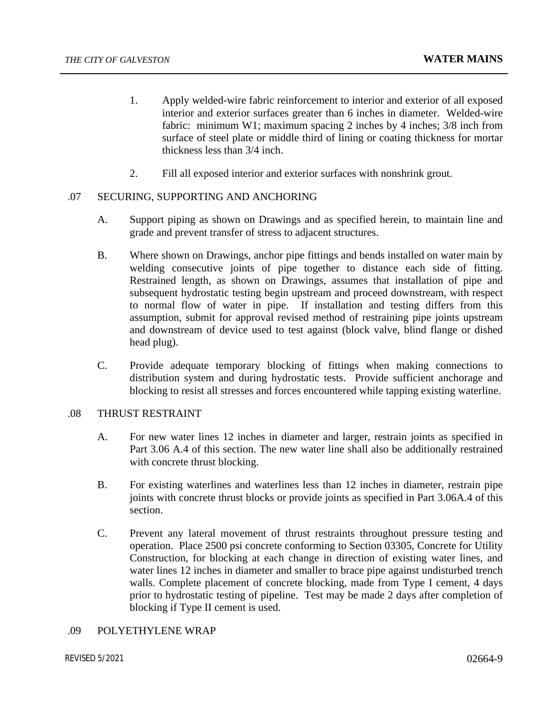- 1. Apply welded-wire fabric reinforcement to interior and exterior of all exposed interior and exterior surfaces greater than 6 inches in diameter. Welded-wire fabric: minimum W1; maximum spacing 2 inches by 4 inches; 3/8 inch from surface of steel plate or middle third of lining or coating thickness for mortar thickness less than 3/4 inch.
- 2. Fill all exposed interior and exterior surfaces with nonshrink grout.

#### .07 SECURING, SUPPORTING AND ANCHORING

- A. Support piping as shown on Drawings and as specified herein, to maintain line and grade and prevent transfer of stress to adjacent structures.
- B. Where shown on Drawings, anchor pipe fittings and bends installed on water main by welding consecutive joints of pipe together to distance each side of fitting. Restrained length, as shown on Drawings, assumes that installation of pipe and subsequent hydrostatic testing begin upstream and proceed downstream, with respect to normal flow of water in pipe. If installation and testing differs from this assumption, submit for approval revised method of restraining pipe joints upstream and downstream of device used to test against (block valve, blind flange or dished head plug).
- C. Provide adequate temporary blocking of fittings when making connections to distribution system and during hydrostatic tests. Provide sufficient anchorage and blocking to resist all stresses and forces encountered while tapping existing waterline.

#### .08 THRUST RESTRAINT

- A. For new water lines 12 inches in diameter and larger, restrain joints as specified in Part 3.06 A.4 of this section. The new water line shall also be additionally restrained with concrete thrust blocking.
- B. For existing waterlines and waterlines less than 12 inches in diameter, restrain pipe joints with concrete thrust blocks or provide joints as specified in Part 3.06A.4 of this section.
- C. Prevent any lateral movement of thrust restraints throughout pressure testing and operation. Place 2500 psi concrete conforming to Section 03305, Concrete for Utility Construction, for blocking at each change in direction of existing water lines, and water lines 12 inches in diameter and smaller to brace pipe against undisturbed trench walls. Complete placement of concrete blocking, made from Type I cement, 4 days prior to hydrostatic testing of pipeline. Test may be made 2 days after completion of blocking if Type II cement is used.

#### .09 POLYETHYLENE WRAP